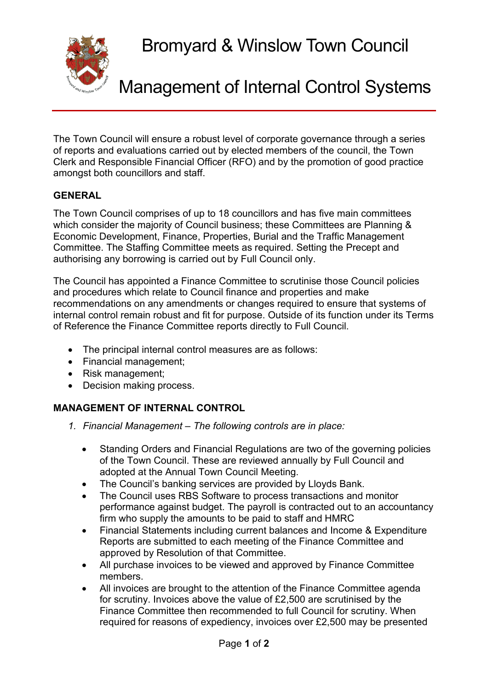Bromyard & Winslow Town Council

Management of Internal Control Systems

The Town Council will ensure a robust level of corporate governance through a series of reports and evaluations carried out by elected members of the council, the Town Clerk and Responsible Financial Officer (RFO) and by the promotion of good practice amongst both councillors and staff.

## **GENERAL**

The Town Council comprises of up to 18 councillors and has five main committees which consider the majority of Council business; these Committees are Planning & Economic Development, Finance, Properties, Burial and the Traffic Management Committee. The Staffing Committee meets as required. Setting the Precept and authorising any borrowing is carried out by Full Council only.

The Council has appointed a Finance Committee to scrutinise those Council policies and procedures which relate to Council finance and properties and make recommendations on any amendments or changes required to ensure that systems of internal control remain robust and fit for purpose. Outside of its function under its Terms of Reference the Finance Committee reports directly to Full Council.

- The principal internal control measures are as follows:
- Financial management;
- Risk management;
- Decision making process.

## **MANAGEMENT OF INTERNAL CONTROL**

- *1. Financial Management – The following controls are in place:*
	- Standing Orders and Financial Regulations are two of the governing policies of the Town Council. These are reviewed annually by Full Council and adopted at the Annual Town Council Meeting.
	- The Council's banking services are provided by Lloyds Bank.
	- The Council uses RBS Software to process transactions and monitor performance against budget. The payroll is contracted out to an accountancy firm who supply the amounts to be paid to staff and HMRC
	- Financial Statements including current balances and Income & Expenditure Reports are submitted to each meeting of the Finance Committee and approved by Resolution of that Committee.
	- All purchase invoices to be viewed and approved by Finance Committee members.
	- All invoices are brought to the attention of the Finance Committee agenda for scrutiny. Invoices above the value of £2,500 are scrutinised by the Finance Committee then recommended to full Council for scrutiny. When required for reasons of expediency, invoices over £2,500 may be presented